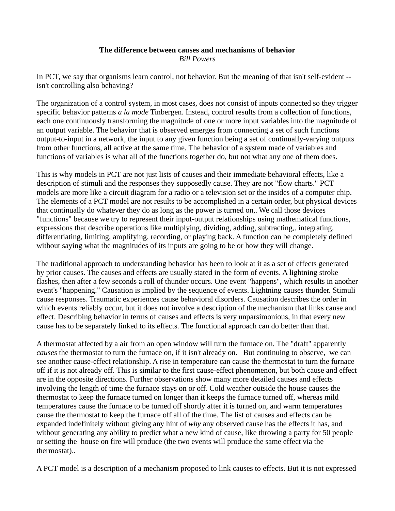## **The difference between causes and mechanisms of behavior** *Bill Powers*

In PCT, we say that organisms learn control, not behavior. But the meaning of that isn't self-evident - isn't controlling also behaving?

The organization of a control system, in most cases, does not consist of inputs connected so they trigger specific behavior patterns *a la mode* Tinbergen. Instead, control results from a collection of functions, each one continuously transforming the magnitude of one or more input variables into the magnitude of an output variable. The behavior that is observed emerges from connecting a set of such functions output-to-input in a network, the input to any given function being a set of continually-varying outputs from other functions, all active at the same time. The behavior of a system made of variables and functions of variables is what all of the functions together do, but not what any one of them does.

This is why models in PCT are not just lists of causes and their immediate behavioral effects, like a description of stimuli and the responses they supposedly cause. They are not "flow charts." PCT models are more like a circuit diagram for a radio or a television set or the insides of a computer chip. The elements of a PCT model are not results to be accomplished in a certain order, but physical devices that continually do whatever they do as long as the power is turned on,. We call those devices "functions" because we try to represent their input-output relationships using mathematical functions, expressions that describe operations like multiplying, dividing, adding, subtracting,. integrating, differentiating, limiting, amplifying, recording, or playing back. A function can be completely defined without saying what the magnitudes of its inputs are going to be or how they will change.

The traditional approach to understanding behavior has been to look at it as a set of effects generated by prior causes. The causes and effects are usually stated in the form of events. A lightning stroke flashes, then after a few seconds a roll of thunder occurs. One event "happens", which results in another event's "happening." Causation is implied by the sequence of events. Lightning causes thunder. Stimuli cause responses. Traumatic experiences cause behavioral disorders. Causation describes the order in which events reliably occur, but it does not involve a description of the mechanism that links cause and effect. Describing behavior in terms of causes and effects is very unparsimonious, in that every new cause has to be separately linked to its effects. The functional approach can do better than that.

A thermostat affected by a air from an open window will turn the furnace on. The "draft" apparently *causes* the thermostat to turn the furnace on, if it isn't already on. But continuing to observe, we can see another cause-effect relationship. A rise in temperature can cause the thermostat to turn the furnace off if it is not already off. This is similar to the first cause-effect phenomenon, but both cause and effect are in the opposite directions. Further observations show many more detailed causes and effects involving the length of time the furnace stays on or off. Cold weather outside the house causes the thermostat to keep the furnace turned on longer than it keeps the furnace turned off, whereas mild temperatures cause the furnace to be turned off shortly after it is turned on, and warm temperatures cause the thermostat to keep the furnace off all of the time. The list of causes and effects can be expanded indefinitely without giving any hint of *why* any observed cause has the effects it has, and without generating any ability to predict what a new kind of cause, like throwing a party for 50 people or setting the house on fire will produce (the two events will produce the same effect via the thermostat)..

A PCT model is a description of a mechanism proposed to link causes to effects. But it is not expressed